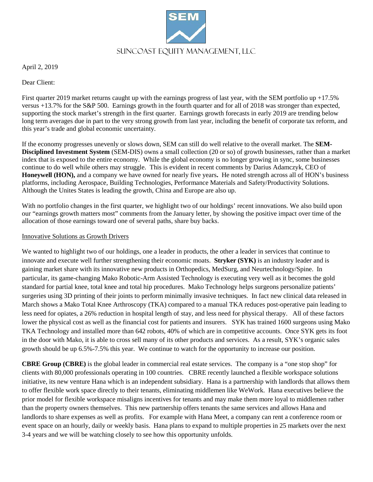

April 2, 2019

Dear Client:

First quarter 2019 market returns caught up with the earnings progress of last year, with the SEM portfolio up  $+17.5\%$ versus +13.7% for the S&P 500. Earnings growth in the fourth quarter and for all of 2018 was stronger than expected, supporting the stock market's strength in the first quarter. Earnings growth forecasts in early 2019 are trending below long term averages due in part to the very strong growth from last year, including the benefit of corporate tax reform, and this year's trade and global economic uncertainty.

If the economy progresses unevenly or slows down, SEM can still do well relative to the overall market. The **SEM-Disciplined Investment System** (SEM-DIS) owns a small collection (20 or so) of growth businesses, rather than a market index that is exposed to the entire economy. While the global economy is no longer growing in sync, some businesses continue to do well while others may struggle. This is evident in recent comments by Darius Adamczyk, CEO of **Honeywell (HON),** and a company we have owned for nearly five years**.** He noted strength across all of HON's business platforms, including Aerospace, Building Technologies, Performance Materials and Safety/Productivity Solutions. Although the Unites States is leading the growth, China and Europe are also up.

With no portfolio changes in the first quarter, we highlight two of our holdings' recent innovations. We also build upon our "earnings growth matters most" comments from the January letter, by showing the positive impact over time of the allocation of those earnings toward one of several paths, share buy backs.

## Innovative Solutions as Growth Drivers

We wanted to highlight two of our holdings, one a leader in products, the other a leader in services that continue to innovate and execute well further strengthening their economic moats. **Stryker (SYK)** is an industry leader and is gaining market share with its innovative new products in Orthopedics, MedSurg, and Neurtechnology/Spine. In particular, its game-changing Mako Robotic-Arm Assisted Technology is executing very well as it becomes the gold standard for partial knee, total knee and total hip procedures. Mako Technology helps surgeons personalize patients' surgeries using 3D printing of their joints to perform minimally invasive techniques. In fact new clinical data released in March shows a Mako Total Knee Arthroscopy (TKA) compared to a manual TKA reduces post-operative pain leading to less need for opiates, a 26% reduction in hospital length of stay, and less need for physical therapy. All of these factors lower the physical cost as well as the financial cost for patients and insurers. SYK has trained 1600 surgeons using Mako TKA Technology and installed more than 642 robots, 40% of which are in competitive accounts. Once SYK gets its foot in the door with Mako, it is able to cross sell many of its other products and services. As a result, SYK's organic sales growth should be up 6.5%-7.5% this year. We continue to watch for the opportunity to increase our position.

**CBRE Group (CBRE)** is the global leader in commercial real estate services. The company is a "one stop shop" for clients with 80,000 professionals operating in 100 countries. CBRE recently launched a flexible workspace solutions initiative, its new venture Hana which is an independent subsidiary. Hana is a partnership with landlords that allows them to offer flexible work space directly to their tenants, eliminating middlemen like WeWork. Hana executives believe the prior model for flexible workspace misaligns incentives for tenants and may make them more loyal to middlemen rather than the property owners themselves. This new partnership offers tenants the same services and allows Hana and landlords to share expenses as well as profits. For example with Hana Meet, a company can rent a conference room or event space on an hourly, daily or weekly basis. Hana plans to expand to multiple properties in 25 markets over the next 3-4 years and we will be watching closely to see how this opportunity unfolds.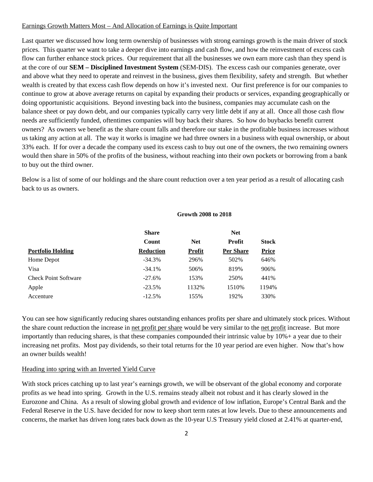#### Earnings Growth Matters Most – And Allocation of Earnings is Quite Important

Last quarter we discussed how long term ownership of businesses with strong earnings growth is the main driver of stock prices. This quarter we want to take a deeper dive into earnings and cash flow, and how the reinvestment of excess cash flow can further enhance stock prices. Our requirement that all the businesses we own earn more cash than they spend is at the core of our **SEM – Disciplined Investment System** (SEM-DIS). The excess cash our companies generate, over and above what they need to operate and reinvest in the business, gives them flexibility, safety and strength. But whether wealth is created by that excess cash flow depends on how it's invested next. Our first preference is for our companies to continue to grow at above average returns on capital by expanding their products or services, expanding geographically or doing opportunistic acquisitions. Beyond investing back into the business, companies may accumulate cash on the balance sheet or pay down debt, and our companies typically carry very little debt if any at all. Once all those cash flow needs are sufficiently funded, oftentimes companies will buy back their shares. So how do buybacks benefit current owners? As owners we benefit as the share count falls and therefore our stake in the profitable business increases without us taking any action at all. The way it works is imagine we had three owners in a business with equal ownership, or about 33% each. If for over a decade the company used its excess cash to buy out one of the owners, the two remaining owners would then share in 50% of the profits of the business, without reaching into their own pockets or borrowing from a bank to buy out the third owner.

Below is a list of some of our holdings and the share count reduction over a ten year period as a result of allocating cash back to us as owners.

#### **Growth 2008 to 2018**

|                             | <b>Share</b>     |            | <b>Net</b>       |              |  |
|-----------------------------|------------------|------------|------------------|--------------|--|
|                             | Count            | <b>Net</b> | <b>Profit</b>    | <b>Stock</b> |  |
| <b>Portfolio Holding</b>    | <b>Reduction</b> | Profit     | <b>Per Share</b> | <b>Price</b> |  |
| Home Depot                  | $-34.3%$         | 296%       | 502%             | 646%         |  |
| Visa                        | $-34.1%$         | 506%       | 819%             | 906%         |  |
| <b>Check Point Software</b> | $-27.6%$         | 153%       | 250%             | 441%         |  |
| Apple                       | $-23.5%$         | 1132%      | 1510%            | 1194%        |  |
| Accenture                   | $-12.5%$         | 155%       | 192%             | 330%         |  |

You can see how significantly reducing shares outstanding enhances profits per share and ultimately stock prices. Without the share count reduction the increase in net profit per share would be very similar to the net profit increase. But more importantly than reducing shares, is that these companies compounded their intrinsic value by 10%+ a year due to their increasing net profits. Most pay dividends, so their total returns for the 10 year period are even higher. Now that's how an owner builds wealth!

### Heading into spring with an Inverted Yield Curve

With stock prices catching up to last year's earnings growth, we will be observant of the global economy and corporate profits as we head into spring. Growth in the U.S. remains steady albeit not robust and it has clearly slowed in the Eurozone and China. As a result of slowing global growth and evidence of low inflation, Europe's Central Bank and the Federal Reserve in the U.S. have decided for now to keep short term rates at low levels. Due to these announcements and concerns, the market has driven long rates back down as the 10-year U.S Treasury yield closed at 2.41% at quarter-end,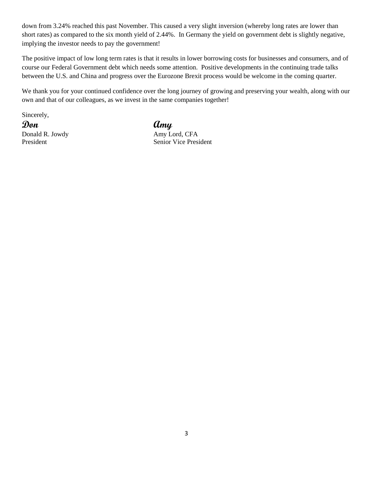down from 3.24% reached this past November. This caused a very slight inversion (whereby long rates are lower than short rates) as compared to the six month yield of 2.44%. In Germany the yield on government debt is slightly negative, implying the investor needs to pay the government!

The positive impact of low long term rates is that it results in lower borrowing costs for businesses and consumers, and of course our Federal Government debt which needs some attention. Positive developments in the continuing trade talks between the U.S. and China and progress over the Eurozone Brexit process would be welcome in the coming quarter.

We thank you for your continued confidence over the long journey of growing and preserving your wealth, along with our own and that of our colleagues, as we invest in the same companies together!

Sincerely,

**Don Amy** Donald R. Jowdy Amy Lord, CFA

President Senior Vice President